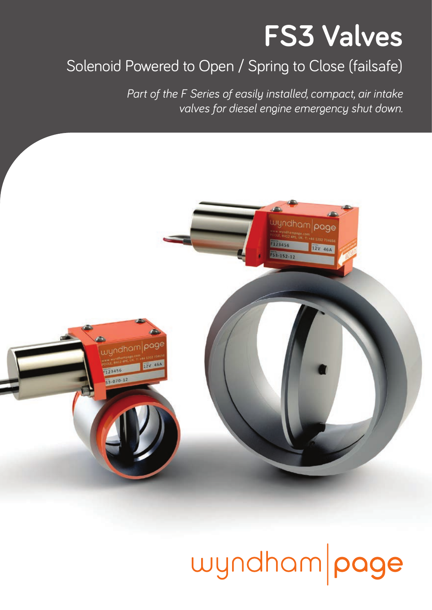## **FS3 Valves**

### Solenoid Powered to Open / Spring to Close (failsafe)

*Part of the F Series of easily installed, compact, air intake valves for diesel engine emergency shut down.* 



## wyndham page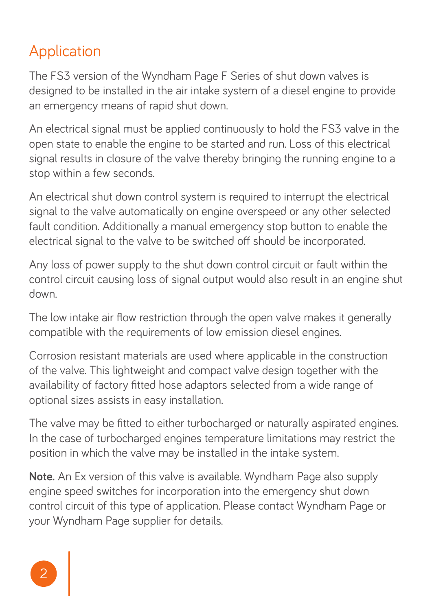#### Application

The FS3 version of the Wyndham Page F Series of shut down valves is designed to be installed in the air intake system of a diesel engine to provide an emergency means of rapid shut down.

An electrical signal must be applied continuously to hold the FS3 valve in the open state to enable the engine to be started and run. Loss of this electrical signal results in closure of the valve thereby bringing the running engine to a stop within a few seconds.

An electrical shut down control system is required to interrupt the electrical signal to the valve automatically on engine overspeed or any other selected fault condition. Additionally a manual emergency stop button to enable the electrical signal to the valve to be switched off should be incorporated.

Any loss of power supply to the shut down control circuit or fault within the control circuit causing loss of signal output would also result in an engine shut down.

The low intake air flow restriction through the open valve makes it generally compatible with the requirements of low emission diesel engines.

Corrosion resistant materials are used where applicable in the construction of the valve. This lightweight and compact valve design together with the availability of factory fitted hose adaptors selected from a wide range of optional sizes assists in easy installation.

The valve may be fitted to either turbocharged or naturally aspirated engines. In the case of turbocharged engines temperature limitations may restrict the position in which the valve may be installed in the intake system.

**Note.** An Ex version of this valve is available. Wyndham Page also supply engine speed switches for incorporation into the emergency shut down control circuit of this type of application. Please contact Wyndham Page or your Wyndham Page supplier for details.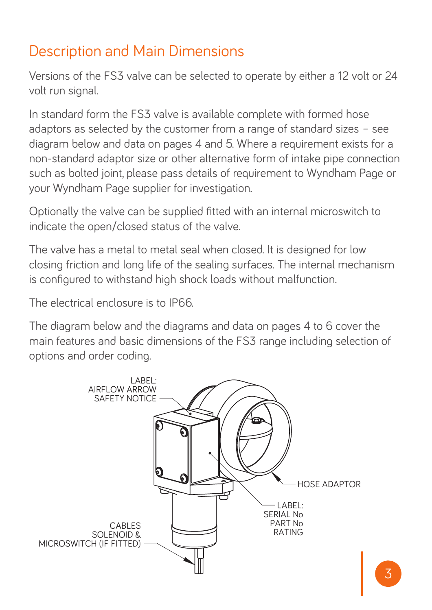#### Description and Main Dimensions

Versions of the FS3 valve can be selected to operate by either a 12 volt or 24 volt run signal.

In standard form the FS3 valve is available complete with formed hose adaptors as selected by the customer from a range of standard sizes – see diagram below and data on pages 4 and 5. Where a requirement exists for a non-standard adaptor size or other alternative form of intake pipe connection such as bolted joint, please pass details of requirement to Wyndham Page or your Wyndham Page supplier for investigation.

Optionally the valve can be supplied fitted with an internal microswitch to indicate the open/closed status of the valve.

The valve has a metal to metal seal when closed. It is designed for low closing friction and long life of the sealing surfaces. The internal mechanism is configured to withstand high shock loads without malfunction.

The electrical enclosure is to IP66.

The diagram below and the diagrams and data on pages 4 to 6 cover the main features and basic dimensions of the FS3 range including selection of options and order coding.

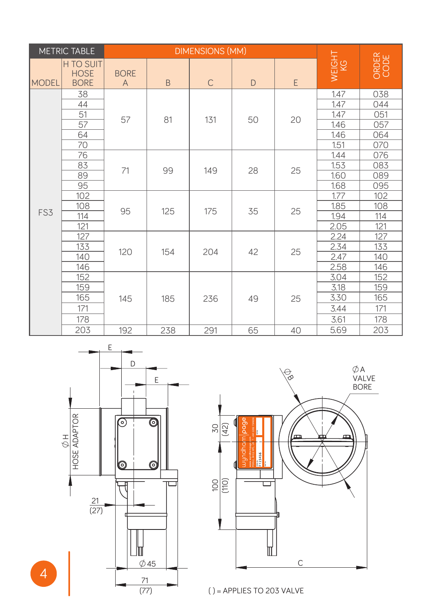| METRIC TABLE |                                         | DIMENSIONS (MM)             |     |              |    |    |              |               |
|--------------|-----------------------------------------|-----------------------------|-----|--------------|----|----|--------------|---------------|
| MODEL        | H TO SUIT<br><b>HOSE</b><br><b>BORE</b> | <b>BORE</b><br>$\mathsf{A}$ | B   | $\mathsf{C}$ | D  | E  | WEIGHT<br>KG | ORDER<br>CODE |
| FS3          | 38                                      | 57                          | 81  | 131          | 50 | 20 | 1.47         | 038           |
|              | 44                                      |                             |     |              |    |    | 1.47         | 044           |
|              | 51                                      |                             |     |              |    |    | 1.47         | 051           |
|              | 57                                      |                             |     |              |    |    | 1.46         | 057           |
|              | 64                                      |                             |     |              |    |    | 1.46         | 064           |
|              | 70                                      |                             |     |              |    |    | 1.51         | 070           |
|              | 76                                      | 71                          | 99  | 149          | 28 | 25 | 1.44         | 076           |
|              | 83                                      |                             |     |              |    |    | 1.53         | 083           |
|              | 89                                      |                             |     |              |    |    | 1.60         | 089           |
|              | 95                                      |                             |     |              |    |    | 1.68         | 095           |
|              | 102                                     | 95                          | 125 | 175          | 35 | 25 | 1.77         | 102           |
|              | 108                                     |                             |     |              |    |    | 1.85         | 108           |
|              | 114                                     |                             |     |              |    |    | 1.94         | 114           |
|              | 121                                     |                             |     |              |    |    | 2.05         | 121           |
|              | 127                                     | 120                         | 154 | 204          | 42 | 25 | 2.24         | 127           |
|              | 133                                     |                             |     |              |    |    | 2.34         | 133           |
|              | 140                                     |                             |     |              |    |    | 2.47         | 140           |
|              | 146                                     |                             |     |              |    |    | 2.58         | 146           |
|              | 152                                     | 145                         | 185 | 236          | 49 | 25 | 3.04         | 152           |
|              | 159                                     |                             |     |              |    |    | 3.18         | 159           |
|              | 165                                     |                             |     |              |    |    | 3.30         | 165           |
|              | 171                                     |                             |     |              |    |    | 3.44         | 171           |
|              | 178                                     |                             |     |              |    |    | 3.61         | 178           |
|              | 203                                     | 192                         | 238 | 291          | 65 | 40 | 5.69         | 203           |



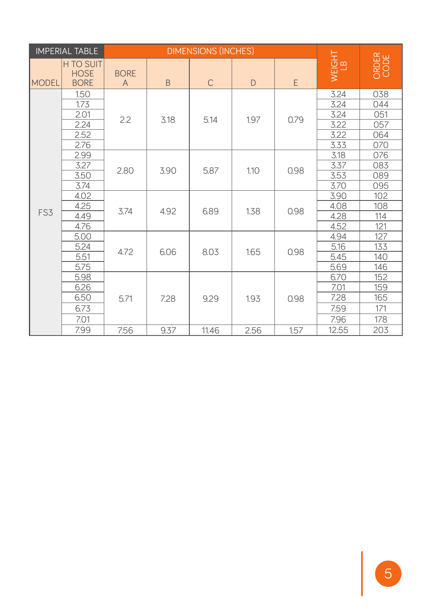| <b>IMPERIAL TABLE</b> |                                                |                  | <b>DIMENSIONS (INCHES)</b> |              |      |      |              |               |
|-----------------------|------------------------------------------------|------------------|----------------------------|--------------|------|------|--------------|---------------|
| <b>IMODEL</b>         | <b>H TO SUIT</b><br><b>HOSE</b><br><b>BORE</b> | <b>BORE</b><br>A | B.                         | $\mathsf{C}$ | D    | E    | WEIGHT<br>LB | ORDER<br>CODE |
| FS3                   | 1.50                                           | 2.2              | 3.18                       | 5.14         | 1.97 | 0.79 | 3.24         | 038           |
|                       | 1.73                                           |                  |                            |              |      |      | 3.24         | 044           |
|                       | 2.01                                           |                  |                            |              |      |      | 3.24         | 051           |
|                       | 2.24                                           |                  |                            |              |      |      | 3.22         | 057           |
|                       | 2.52                                           |                  |                            |              |      |      | 3.22         | 064           |
|                       | 2.76                                           |                  |                            |              |      |      | 3.33         | 070           |
|                       | 2.99                                           | 2.80             | 3.90                       | 5.87         | 1.10 | 0.98 | 3.18         | 076           |
|                       | 3.27                                           |                  |                            |              |      |      | 3.37         | 083           |
|                       | 3.50                                           |                  |                            |              |      |      | 3.53         | 089           |
|                       | 3.74                                           |                  |                            |              |      |      | 3.70         | 095           |
|                       | 4.02                                           | 3.74             | 4.92                       | 6.89         | 1.38 | 0.98 | 3.90         | 102           |
|                       | 4.25                                           |                  |                            |              |      |      | 4.08         | 108           |
|                       | 4.49                                           |                  |                            |              |      |      | 4.28         | 114           |
|                       | 4.76                                           |                  |                            |              |      |      | 4.52         | 121           |
|                       | 5.00                                           | 4.72             | 6.06                       | 8.03         | 1.65 | 0.98 | 4.94         | 127           |
|                       | 5.24                                           |                  |                            |              |      |      | 5.16         | 133           |
|                       | 5.51                                           |                  |                            |              |      |      | 5.45         | 140           |
|                       | 5.75                                           |                  |                            |              |      |      | 5.69         | 146           |
|                       | 5.98                                           | 5.71             | 7.28                       | 9.29         | 1.93 | 0.98 | 6.70         | 152           |
|                       | 6.26                                           |                  |                            |              |      |      | 7.01         | 159           |
|                       | 6.50                                           |                  |                            |              |      |      | 7.28         | 165           |
|                       | 6.73                                           |                  |                            |              |      |      | 7.59         | 171           |
|                       | 7.01                                           |                  |                            |              |      |      | 7.96         | 178           |
|                       | 7.99                                           | 7.56             | 9.37                       | 11.46        | 2.56 | 1.57 | 12.55        | 203           |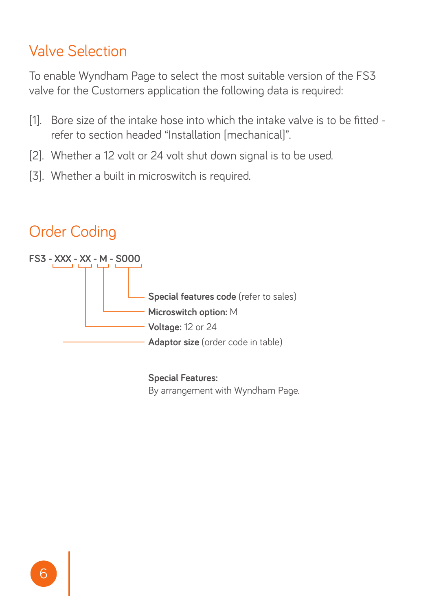#### Valve Selection

To enable Wyndham Page to select the most suitable version of the FS3 valve for the Customers application the following data is required:

- [1]. Bore size of the intake hose into which the intake valve is to be fitted refer to section headed "Installation [mechanical]".
- [2]. Whether a 12 volt or 24 volt shut down signal is to be used.
- [3]. Whether a built in microswitch is required.

#### Order Coding



**Special Features:**  By arrangement with Wyndham Page.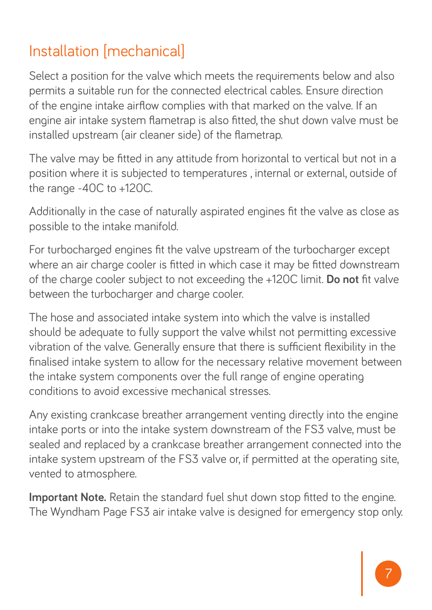### Installation [mechanical]

Select a position for the valve which meets the requirements below and also permits a suitable run for the connected electrical cables. Ensure direction of the engine intake airflow complies with that marked on the valve. If an engine air intake system flametrap is also fitted, the shut down valve must be installed upstream (air cleaner side) of the flametrap.

The valve may be fitted in any attitude from horizontal to vertical but not in a position where it is subjected to temperatures , internal or external, outside of the range -40C to +120C.

Additionally in the case of naturally aspirated engines fit the valve as close as possible to the intake manifold.

For turbocharged engines fit the valve upstream of the turbocharger except where an air charge cooler is fitted in which case it may be fitted downstream of the charge cooler subject to not exceeding the +120C limit. **Do not** fit valve between the turbocharger and charge cooler.

The hose and associated intake system into which the valve is installed should be adequate to fully support the valve whilst not permitting excessive vibration of the valve. Generally ensure that there is sufficient flexibility in the finalised intake system to allow for the necessary relative movement between the intake system components over the full range of engine operating conditions to avoid excessive mechanical stresses.

Any existing crankcase breather arrangement venting directly into the engine intake ports or into the intake system downstream of the FS3 valve, must be sealed and replaced by a crankcase breather arrangement connected into the intake system upstream of the FS3 valve or, if permitted at the operating site, vented to atmosphere.

**Important Note.** Retain the standard fuel shut down stop fitted to the engine. The Wyndham Page FS3 air intake valve is designed for emergency stop only.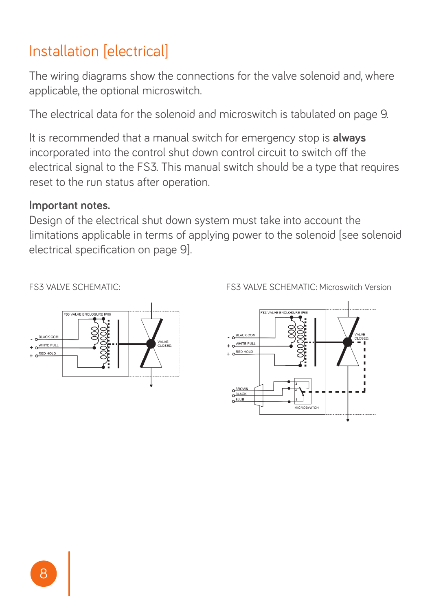#### Installation [electrical]

The wiring diagrams show the connections for the valve solenoid and, where applicable, the optional microswitch.

The electrical data for the solenoid and microswitch is tabulated on page 9.

It is recommended that a manual switch for emergency stop is **always** incorporated into the control shut down control circuit to switch off the electrical signal to the FS3. This manual switch should be a type that requires reset to the run status after operation.

#### **Important notes.**

Design of the electrical shut down system must take into account the limitations applicable in terms of applying power to the solenoid [see solenoid electrical specification on page 9].





FS3 VALVE SCHEMATIC: FS3 VALVE SCHEMATIC: Microswitch Version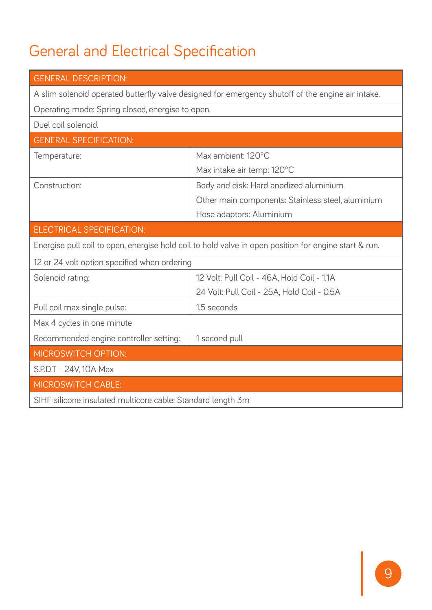### General and Electrical Specification

| <b>GENERAL DESCRIPTION:</b>                                                                           |                                                   |  |  |  |
|-------------------------------------------------------------------------------------------------------|---------------------------------------------------|--|--|--|
| A slim solenoid operated butterfly valve designed for emergency shutoff of the engine air intake.     |                                                   |  |  |  |
| Operating mode: Spring closed, energise to open.                                                      |                                                   |  |  |  |
| Duel coil solenoid.                                                                                   |                                                   |  |  |  |
| <b>GENERAL SPECIFICATION:</b>                                                                         |                                                   |  |  |  |
| Temperature:                                                                                          | Max ambient: 120°C                                |  |  |  |
|                                                                                                       | Max intake air temp: 120°C                        |  |  |  |
| Construction:                                                                                         | Body and disk: Hard anodized aluminium            |  |  |  |
|                                                                                                       | Other main components: Stainless steel, aluminium |  |  |  |
|                                                                                                       | Hose adaptors: Aluminium                          |  |  |  |
| ELECTRICAL SPECIFICATION:                                                                             |                                                   |  |  |  |
| Energise pull coil to open, energise hold coil to hold valve in open position for engine start & run. |                                                   |  |  |  |
| 12 or 24 volt option specified when ordering                                                          |                                                   |  |  |  |
| Solenoid rating:                                                                                      | 12 Volt: Pull Coil - 46A. Hold Coil - 1.1A        |  |  |  |
|                                                                                                       | 24 Volt: Pull Coil - 25A, Hold Coil - 0.5A        |  |  |  |
| Pull coil max single pulse:                                                                           | 1.5 seconds                                       |  |  |  |
| Max 4 cycles in one minute                                                                            |                                                   |  |  |  |
| Recommended engine controller setting:                                                                | 1 second pull                                     |  |  |  |
| <b>MICROSWITCH OPTION:</b>                                                                            |                                                   |  |  |  |
| S.P.D.T - 24V, 10A Max                                                                                |                                                   |  |  |  |
| <b>MICROSWITCH CABLE:</b>                                                                             |                                                   |  |  |  |
| SIHF silicone insulated multicore cable: Standard length 3m                                           |                                                   |  |  |  |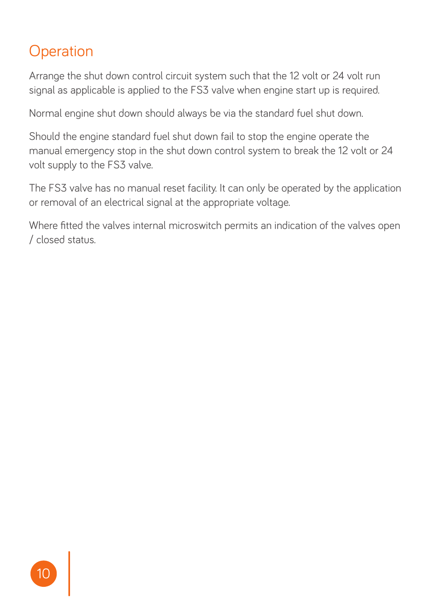#### **Operation**

Arrange the shut down control circuit system such that the 12 volt or 24 volt run signal as applicable is applied to the FS3 valve when engine start up is required.

Normal engine shut down should always be via the standard fuel shut down.

Should the engine standard fuel shut down fail to stop the engine operate the manual emergency stop in the shut down control system to break the 12 volt or 24 volt supply to the FS3 valve.

The FS3 valve has no manual reset facility. It can only be operated by the application or removal of an electrical signal at the appropriate voltage.

Where fitted the valves internal microswitch permits an indication of the valves open / closed status.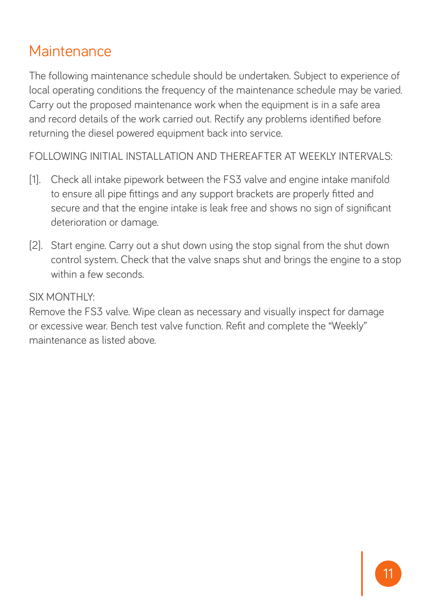#### **Maintenance**

The following maintenance schedule should be undertaken. Subject to experience of local operating conditions the frequency of the maintenance schedule may be varied. Carry out the proposed maintenance work when the equipment is in a safe area and record details of the work carried out. Rectify any problems identified before returning the diesel powered equipment back into service.

FOLLOWING INITIAL INSTALLATION AND THEREAFTER AT WEEKLY INTERVALS:

- [1]. Check all intake pipework between the FS3 valve and engine intake manifold to ensure all pipe fittings and any support brackets are properly fitted and secure and that the engine intake is leak free and shows no sign of significant deterioration or damage.
- [2]. Start engine. Carry out a shut down using the stop signal from the shut down control system. Check that the valve snaps shut and brings the engine to a stop within a few seconds.

#### SIX MONTHLY:

Remove the FS3 valve. Wipe clean as necessary and visually inspect for damage or excessive wear. Bench test valve function. Refit and complete the "Weekly" maintenance as listed above.